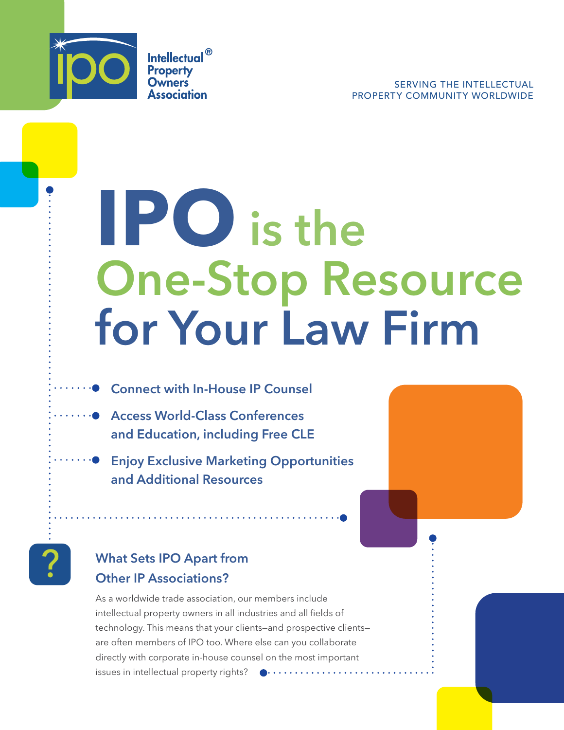

**Intellectual**<sup>®</sup> **Property Owners** Association

# **IPO** is the One-Stop Resource for Your Law Firm

- **● Connect with In-House IP Counsel**
- **● Access World-Class Conferences** and Education, including Free CLE
	- Enjoy Exclusive Marketing Opportunities and Additional Resources



#### What Sets IPO Apart from Other IP Associations?

As a worldwide trade association, our members include intellectual property owners in all industries and all fields of technology. This means that your clients—and prospective clients are often members of IPO too. Where else can you collaborate directly with corporate in-house counsel on the most important issues in intellectual property rights?  $\bullet \cdots \cdots \cdots \cdots \cdots$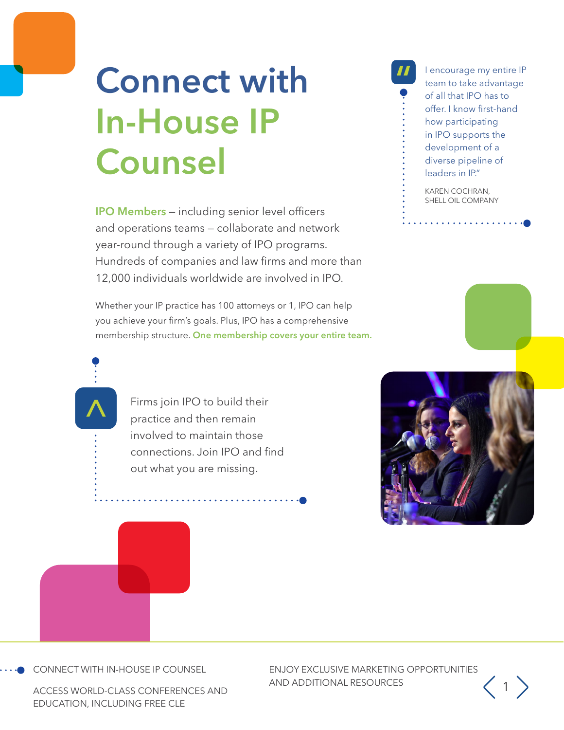### **Connect with** In-House IP Counsel

IPO Members — including senior level officers and operations teams — collaborate and network year-round through a variety of IPO programs. Hundreds of companies and law firms and more than 12,000 individuals worldwide are involved in IPO.

Whether your IP practice has 100 attorneys or 1, IPO can help you achieve your firm's goals. Plus, IPO has a comprehensive membership structure. One membership covers your entire team.

> Firms join IPO to build their practice and then remain involved to maintain those connections. Join IPO and find out what you are missing.

I encourage my entire IP team to take advantage of all that IPO has to offer. I know first-hand how participating in IPO supports the development of a diverse pipeline of leaders in IP."

KAREN COCHRAN, SHELL OIL COMPANY

 $\mathbf{1} \times \mathbf{1} \times \mathbf{1} \times \mathbf{1} \times \mathbf{1} \times \mathbf{1} \times \mathbf{1} \times \mathbf{1} \times \mathbf{1} \times \mathbf{1} \times \mathbf{1} \times \mathbf{1} \times \mathbf{1} \times \mathbf{1} \times \mathbf{1} \times \mathbf{1} \times \mathbf{1} \times \mathbf{1} \times \mathbf{1} \times \mathbf{1} \times \mathbf{1} \times \mathbf{1} \times \mathbf{1} \times \mathbf{1} \times \mathbf{1} \times \mathbf{1} \times \mathbf{1} \times \mathbf{$ 







 $\frac{\lambda}{\cdot}$ 

CONNECT WITH IN-HOUSE IP COUNSEL

ACCESS WORLD-CLASS CONFERENCES AND EDUCATION, INCLUDING FREE CLE

ENJOY EXCLUSIVE MARKETING OPPORTUNITIES AND ADDITIONAL RESOURCES 2001

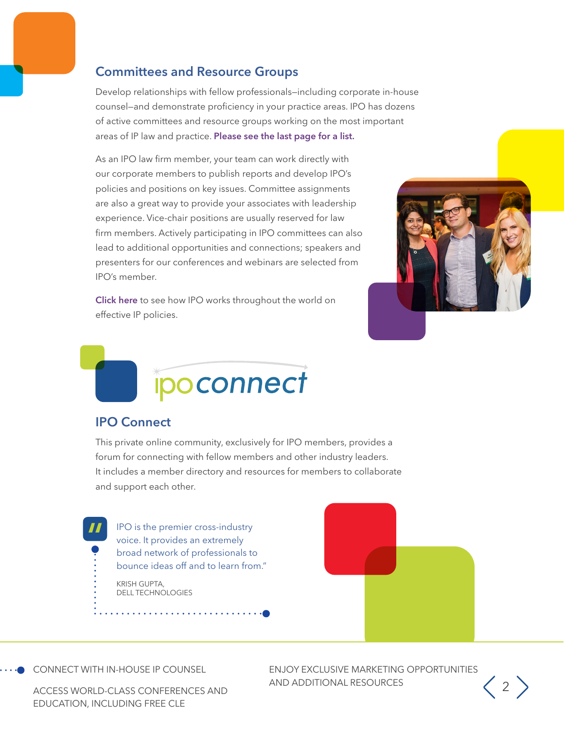#### Committees and Resource Groups

Develop relationships with fellow professionals—including corporate in-house counsel—and demonstrate proficiency in your practice areas. IPO has dozens of active committees and resource groups working on the most important areas of IP law and practice. Please see the last page for a list.

As an IPO law firm member, your team can work directly with our corporate members to publish reports and develop IPO's policies and positions on key issues. Committee assignments are also a great way to provide your associates with leadership experience. Vice-chair positions are usually reserved for law firm members. Actively participating in IPO committees can also lead to additional opportunities and connections; speakers and presenters for our conferences and webinars are selected from IPO's member.

[Click here](https://ipo.org/index.php/international) to see how IPO works throughout the world on effective IP policies.





#### IPO Connect

This private online community, exclusively for IPO members, provides a forum for connecting with fellow members and other industry leaders. It includes a member directory and resources for members to collaborate and support each other.

IPO is the premier cross-industry voice. It provides an extremely broad network of professionals to bounce ideas off and to learn from." KRISH GUPTA, DELL TECHNOLOGIES



CONNECT WITH IN-HOUSE IP COUNSEL

 $\frac{11}{9}$ 

ENJOY EXCLUSIVE MARKETING OPPORTUNITIES AND ADDITIONAL RESOURCES 2

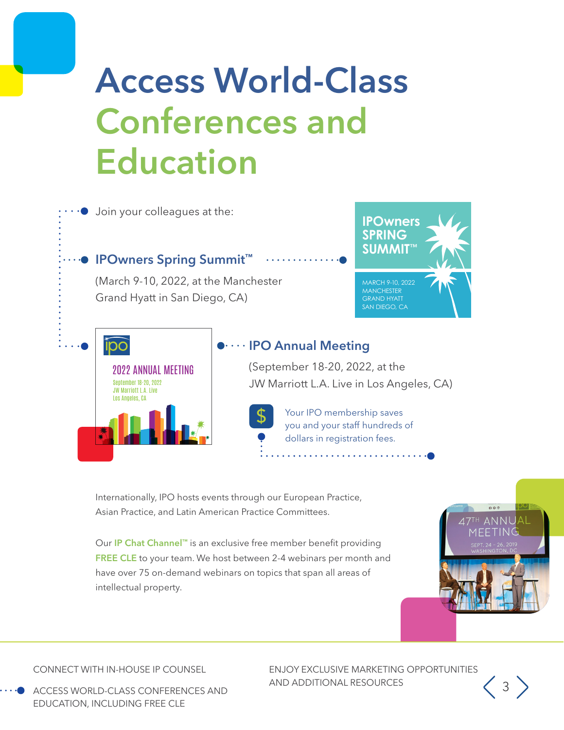### Access World-Class Conferences and Education



Internationally, IPO hosts events through our European Practice, Asian Practice, and Latin American Practice Committees.

Our IP Chat Channel™ is an exclusive free member benefit providing FREE CLE to your team. We host between 2-4 webinars per month and have over 75 on-demand webinars on topics that span all areas of intellectual property.

CONNECT WITH IN-HOUSE IP COUNSEL

ACCESS WORLD-CLASS CONFERENCES AND EDUCATION, INCLUDING FREE CLE

ENJOY EXCLUSIVE MARKETING OPPORTUNITIES AND ADDITIONAL RESOURCES 3

<sup>TH</sup> ANNUAI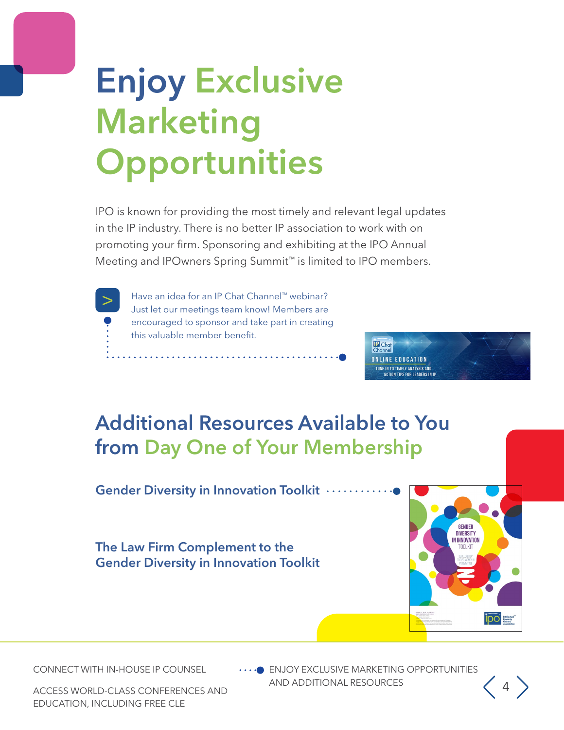## Enjoy Exclusive Marketing **Opportunities**

IPO is known for providing the most timely and relevant legal updates in the IP industry. There is no better IP association to work with on promoting your firm. Sponsoring and exhibiting at the IPO Annual Meeting and IPOwners Spring Summit™ is limited to IPO members.



> Have an idea for an IP Chat Channel™ webinar?<br>Just let our meetings team know! Members are encouraged to sponsor and take part in creating this valuable member benefit.



### Additional Resources Available to You from Day One of Your Membership

Gender Diversity in Innovation Toolkit .........

The Law Firm Complement to the Gender Diversity in Innovation Toolkit



CONNECT WITH IN-HOUSE IP COUNSEL

**ENJOY EXCLUSIVE MARKETING OPPORTUNITIES** AND ADDITIONAL RESOURCES  $\left(4\right)$ 

ACCESS WORLD-CLASS CONFERENCES AND EDUCATION, INCLUDING FREE CLE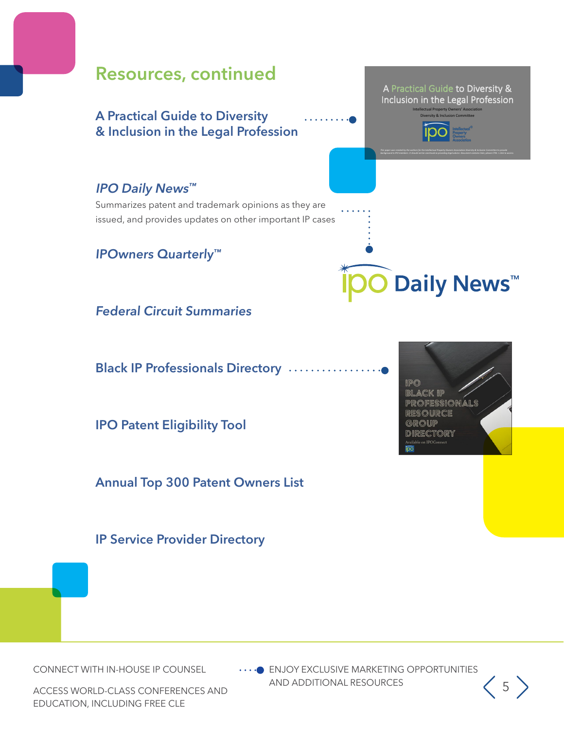

CONNECT WITH IN-HOUSE IP COUNSEL

 $\cdots$  ENJOY EXCLUSIVE MARKETING OPPORTUNITIES AND ADDITIONAL RESOURCES  $\begin{pmatrix} 5 \end{pmatrix}$ 

ACCESS WORLD-CLASS CONFERENCES AND EDUCATION, INCLUDING FREE CLE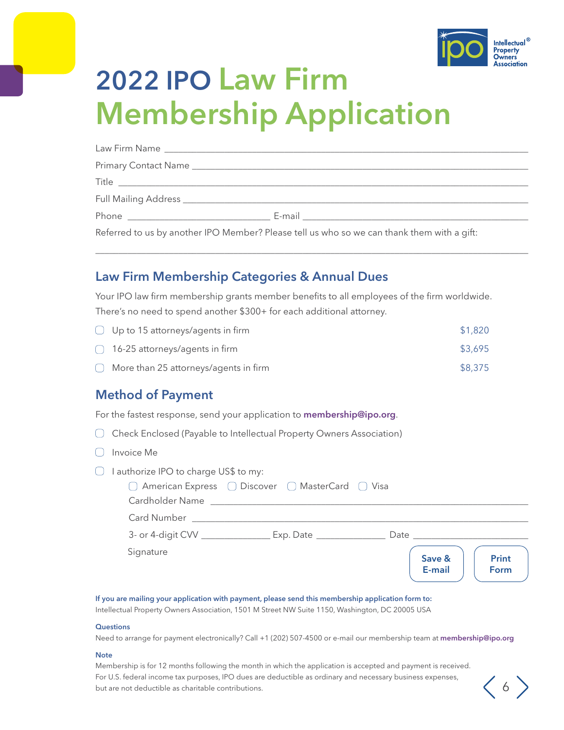

 $\langle 6 \rangle$ 

### 2022 IPO Law Firm Membership Application

| Referred to us by another IPO Member? Please tell us who so we can thank them with a gift: |
|--------------------------------------------------------------------------------------------|

\_\_\_\_\_\_\_\_\_\_\_\_\_\_\_\_\_\_\_\_\_\_\_\_\_\_\_\_\_\_\_\_\_\_\_\_\_\_\_\_\_\_\_\_\_\_\_\_\_\_\_\_\_\_\_\_\_\_\_\_\_\_\_\_\_\_\_\_\_\_\_\_\_\_\_\_\_\_\_\_\_\_\_\_\_\_\_\_\_\_\_\_\_\_

#### Law Firm Membership Categories & Annual Dues

Your IPO law firm membership grants member benefits to all employees of the firm worldwide. There's no need to spend another \$300+ for each additional attorney.

| $\bigcirc$ Up to 15 attorneys/agents in firm     | \$1,820 |
|--------------------------------------------------|---------|
| $\bigcap$ 16-25 attorneys/agents in firm         | \$3,695 |
| $\bigcirc$ More than 25 attorneys/agents in firm | \$8,375 |

#### Method of Payment

For the fastest response, send your application to [membership@ipo.org](mailto:membership%40ipo.org?subject=).

Check Enclosed (Payable to Intellectual Property Owners Association)

- $\bigcirc$  Invoice Me
- $\bigcap$  I authorize IPO to charge US\$ to my:

| □ American Express □ Discover □ MasterCard □ Visa<br>Cardholder Name |           |      |                  |                      |
|----------------------------------------------------------------------|-----------|------|------------------|----------------------|
| <b>Card Number</b>                                                   |           |      |                  |                      |
| 3- or 4-digit CVV ___________                                        | Exp. Date | Date |                  |                      |
| Signature                                                            |           |      | Save &<br>E-mail | <b>Print</b><br>Form |

#### If you are mailing your application with payment, please send this membership application form to:

Intellectual Property Owners Association, 1501 M Street NW Suite 1150, Washington, DC 20005 USA

#### **Questions**

Need to arrange for payment electronically? Call +1 (202) 507-4500 or e-mail our membership team at membership@ipo.org

#### **Note**

Membership is for 12 months following the month in which the application is accepted and payment is received. For U.S. federal income tax purposes, IPO dues are deductible as ordinary and necessary business expenses, but are not deductible as charitable contributions.